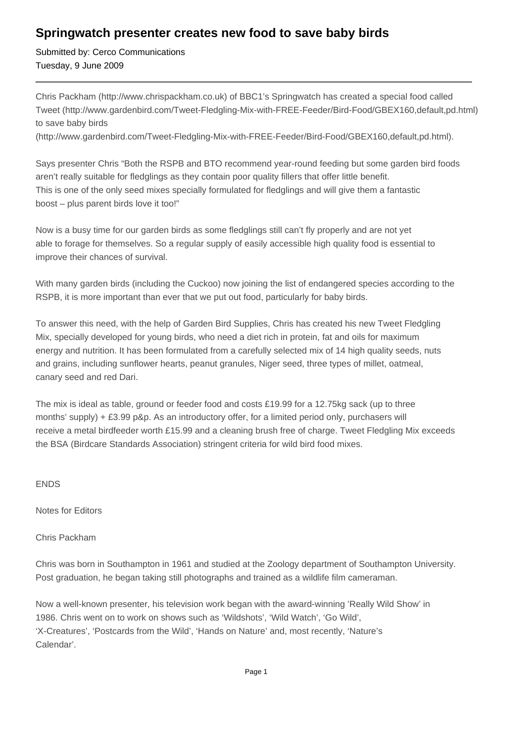## **Springwatch presenter creates new food to save baby birds**

Submitted by: Cerco Communications Tuesday, 9 June 2009

Chris Packham (http://www.chrispackham.co.uk) of BBC1's Springwatch has created a special food called Tweet (http://www.gardenbird.com/Tweet-Fledgling-Mix-with-FREE-Feeder/Bird-Food/GBEX160,default,pd.html) to save baby birds

(http://www.gardenbird.com/Tweet-Fledgling-Mix-with-FREE-Feeder/Bird-Food/GBEX160,default,pd.html).

Says presenter Chris "Both the RSPB and BTO recommend year-round feeding but some garden bird foods aren't really suitable for fledglings as they contain poor quality fillers that offer little benefit. This is one of the only seed mixes specially formulated for fledglings and will give them a fantastic boost – plus parent birds love it too!"

Now is a busy time for our garden birds as some fledglings still can't fly properly and are not yet able to forage for themselves. So a regular supply of easily accessible high quality food is essential to improve their chances of survival.

With many garden birds (including the Cuckoo) now joining the list of endangered species according to the RSPB, it is more important than ever that we put out food, particularly for baby birds.

To answer this need, with the help of Garden Bird Supplies, Chris has created his new Tweet Fledgling Mix, specially developed for young birds, who need a diet rich in protein, fat and oils for maximum energy and nutrition. It has been formulated from a carefully selected mix of 14 high quality seeds, nuts and grains, including sunflower hearts, peanut granules, Niger seed, three types of millet, oatmeal, canary seed and red Dari.

The mix is ideal as table, ground or feeder food and costs £19.99 for a 12.75kg sack (up to three months' supply) + £3.99 p&p. As an introductory offer, for a limited period only, purchasers will receive a metal birdfeeder worth £15.99 and a cleaning brush free of charge. Tweet Fledgling Mix exceeds the BSA (Birdcare Standards Association) stringent criteria for wild bird food mixes.

## ENDS

Notes for Editors

## Chris Packham

Chris was born in Southampton in 1961 and studied at the Zoology department of Southampton University. Post graduation, he began taking still photographs and trained as a wildlife film cameraman.

Now a well-known presenter, his television work began with the award-winning 'Really Wild Show' in 1986. Chris went on to work on shows such as 'Wildshots', 'Wild Watch', 'Go Wild', 'X-Creatures', 'Postcards from the Wild', 'Hands on Nature' and, most recently, 'Nature's Calendar'.